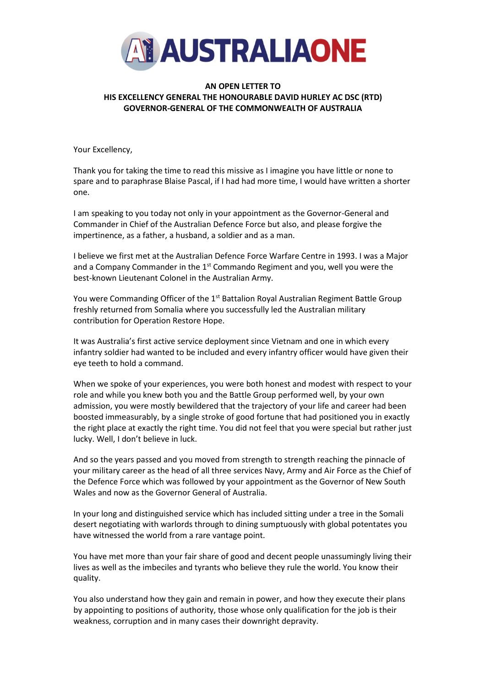

## **AN OPEN LETTER TO HIS EXCELLENCY GENERAL THE HONOURABLE DAVID HURLEY AC DSC (RTD) GOVERNOR-GENERAL OF THE COMMONWEALTH OF AUSTRALIA**

Your Excellency,

Thank you for taking the time to read this missive as I imagine you have little or none to spare and to paraphrase Blaise Pascal, if I had had more time, I would have written a shorter one.

I am speaking to you today not only in your appointment as the Governor-General and Commander in Chief of the Australian Defence Force but also, and please forgive the impertinence, as a father, a husband, a soldier and as a man.

I believe we first met at the Australian Defence Force Warfare Centre in 1993. I was a Major and a Company Commander in the 1<sup>st</sup> Commando Regiment and you, well you were the best-known Lieutenant Colonel in the Australian Army.

You were Commanding Officer of the 1<sup>st</sup> Battalion Royal Australian Regiment Battle Group freshly returned from Somalia where you successfully led the Australian military contribution for Operation Restore Hope.

It was Australia's first active service deployment since Vietnam and one in which every infantry soldier had wanted to be included and every infantry officer would have given their eye teeth to hold a command.

When we spoke of your experiences, you were both honest and modest with respect to your role and while you knew both you and the Battle Group performed well, by your own admission, you were mostly bewildered that the trajectory of your life and career had been boosted immeasurably, by a single stroke of good fortune that had positioned you in exactly the right place at exactly the right time. You did not feel that you were special but rather just lucky. Well, I don't believe in luck.

And so the years passed and you moved from strength to strength reaching the pinnacle of your military career as the head of all three services Navy, Army and Air Force as the Chief of the Defence Force which was followed by your appointment as the Governor of New South Wales and now as the Governor General of Australia.

In your long and distinguished service which has included sitting under a tree in the Somali desert negotiating with warlords through to dining sumptuously with global potentates you have witnessed the world from a rare vantage point.

You have met more than your fair share of good and decent people unassumingly living their lives as well as the imbeciles and tyrants who believe they rule the world. You know their quality.

You also understand how they gain and remain in power, and how they execute their plans by appointing to positions of authority, those whose only qualification for the job is their weakness, corruption and in many cases their downright depravity.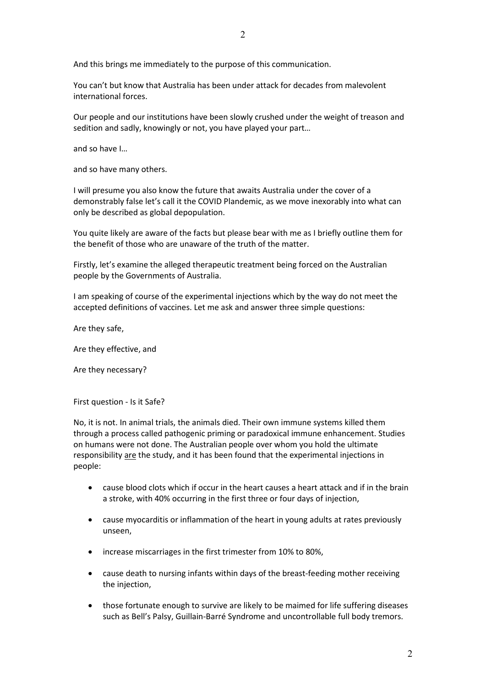And this brings me immediately to the purpose of this communication.

You can't but know that Australia has been under attack for decades from malevolent international forces.

Our people and our institutions have been slowly crushed under the weight of treason and sedition and sadly, knowingly or not, you have played your part…

and so have I…

and so have many others.

I will presume you also know the future that awaits Australia under the cover of a demonstrably false let's call it the COVID Plandemic, as we move inexorably into what can only be described as global depopulation.

You quite likely are aware of the facts but please bear with me as I briefly outline them for the benefit of those who are unaware of the truth of the matter.

Firstly, let's examine the alleged therapeutic treatment being forced on the Australian people by the Governments of Australia.

I am speaking of course of the experimental injections which by the way do not meet the accepted definitions of vaccines. Let me ask and answer three simple questions:

Are they safe,

Are they effective, and

Are they necessary?

First question - Is it Safe?

No, it is not. In animal trials, the animals died. Their own immune systems killed them through a process called pathogenic priming or paradoxical immune enhancement. Studies on humans were not done. The Australian people over whom you hold the ultimate responsibility are the study, and it has been found that the experimental injections in people:

- cause blood clots which if occur in the heart causes a heart attack and if in the brain a stroke, with 40% occurring in the first three or four days of injection,
- cause myocarditis or inflammation of the heart in young adults at rates previously unseen,
- increase miscarriages in the first trimester from 10% to 80%,
- cause death to nursing infants within days of the breast-feeding mother receiving the injection,
- those fortunate enough to survive are likely to be maimed for life suffering diseases such as Bell's Palsy, Guillain-Barré Syndrome and uncontrollable full body tremors.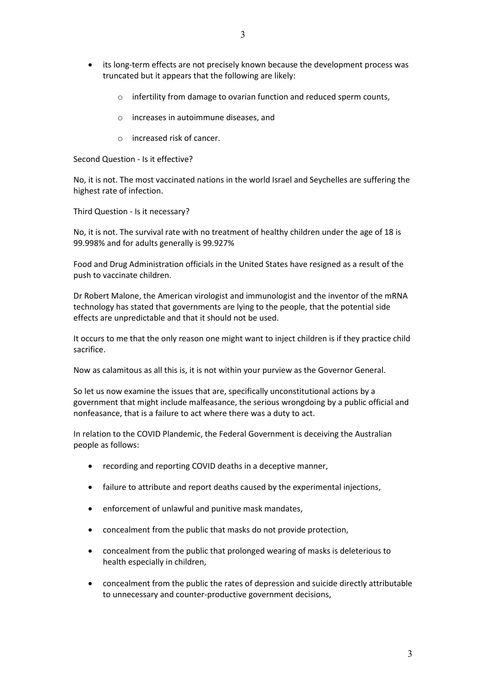- its long-term effects are not precisely known because the development process was truncated but it appears that the following are likely:
	- o infertility from damage to ovarian function and reduced sperm counts,
	- o increases in autoimmune diseases, and
	- o increased risk of cancer.

Second Question - Is it effective?

No, it is not. The most vaccinated nations in the world Israel and Seychelles are suffering the highest rate of infection.

Third Question - Is it necessary?

No, it is not. The survival rate with no treatment of healthy children under the age of 18 is 99.998% and for adults generally is 99.927%

Food and Drug Administration officials in the United States have resigned as a result of the push to vaccinate children.

Dr Robert Malone, the American virologist and immunologist and the inventor of the mRNA technology has stated that governments are lying to the people, that the potential side effects are unpredictable and that it should not be used.

It occurs to me that the only reason one might want to inject children is if they practice child sacrifice.

Now as calamitous as all this is, it is not within your purview as the Governor General.

So let us now examine the issues that are, specifically unconstitutional actions by a government that might include malfeasance, the serious wrongdoing by a public official and nonfeasance, that is a failure to act where there was a duty to act.

In relation to the COVID Plandemic, the Federal Government is deceiving the Australian people as follows:

- recording and reporting COVID deaths in a deceptive manner,
- failure to attribute and report deaths caused by the experimental injections,
- enforcement of unlawful and punitive mask mandates,
- concealment from the public that masks do not provide protection,
- concealment from the public that prolonged wearing of masks is deleterious to health especially in children,
- concealment from the public the rates of depression and suicide directly attributable to unnecessary and counter-productive government decisions,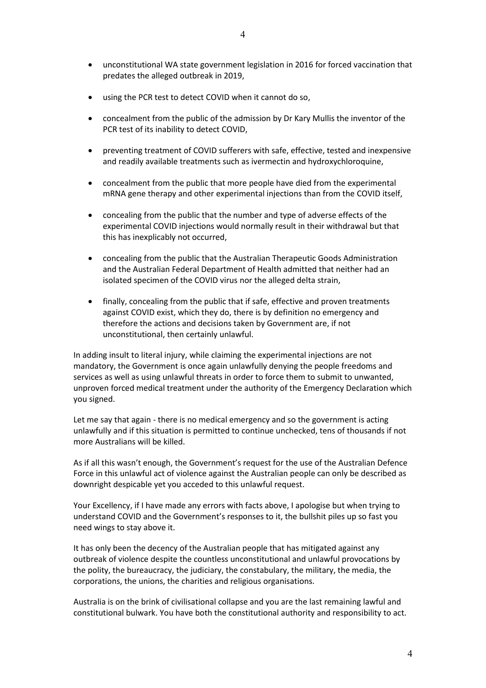- unconstitutional WA state government legislation in 2016 for forced vaccination that predates the alleged outbreak in 2019,
- using the PCR test to detect COVID when it cannot do so,
- concealment from the public of the admission by Dr Kary Mullis the inventor of the PCR test of its inability to detect COVID,
- preventing treatment of COVID sufferers with safe, effective, tested and inexpensive and readily available treatments such as ivermectin and hydroxychloroquine,
- concealment from the public that more people have died from the experimental mRNA gene therapy and other experimental injections than from the COVID itself,
- concealing from the public that the number and type of adverse effects of the experimental COVID injections would normally result in their withdrawal but that this has inexplicably not occurred,
- concealing from the public that the Australian Therapeutic Goods Administration and the Australian Federal Department of Health admitted that neither had an isolated specimen of the COVID virus nor the alleged delta strain,
- finally, concealing from the public that if safe, effective and proven treatments against COVID exist, which they do, there is by definition no emergency and therefore the actions and decisions taken by Government are, if not unconstitutional, then certainly unlawful.

In adding insult to literal injury, while claiming the experimental injections are not mandatory, the Government is once again unlawfully denying the people freedoms and services as well as using unlawful threats in order to force them to submit to unwanted, unproven forced medical treatment under the authority of the Emergency Declaration which you signed.

Let me say that again - there is no medical emergency and so the government is acting unlawfully and if this situation is permitted to continue unchecked, tens of thousands if not more Australians will be killed.

As if all this wasn't enough, the Government's request for the use of the Australian Defence Force in this unlawful act of violence against the Australian people can only be described as downright despicable yet you acceded to this unlawful request.

Your Excellency, if I have made any errors with facts above, I apologise but when trying to understand COVID and the Government's responses to it, the bullshit piles up so fast you need wings to stay above it.

It has only been the decency of the Australian people that has mitigated against any outbreak of violence despite the countless unconstitutional and unlawful provocations by the polity, the bureaucracy, the judiciary, the constabulary, the military, the media, the corporations, the unions, the charities and religious organisations.

Australia is on the brink of civilisational collapse and you are the last remaining lawful and constitutional bulwark. You have both the constitutional authority and responsibility to act.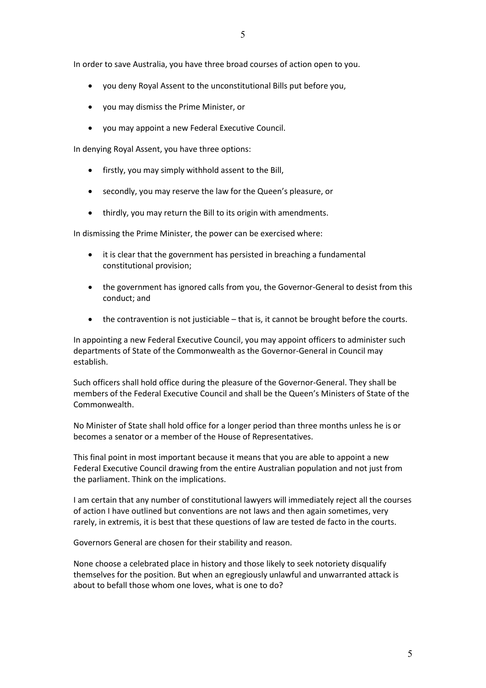In order to save Australia, you have three broad courses of action open to you.

- you deny Royal Assent to the unconstitutional Bills put before you,
- you may dismiss the Prime Minister, or
- you may appoint a new Federal Executive Council.

In denying Royal Assent, you have three options:

- firstly, you may simply withhold assent to the Bill,
- secondly, you may reserve the law for the Queen's pleasure, or
- thirdly, you may return the Bill to its origin with amendments.

In dismissing the Prime Minister, the power can be exercised where:

- it is clear that the government has persisted in breaching a fundamental constitutional provision;
- the government has ignored calls from you, the Governor-General to desist from this conduct; and
- the contravention is not justiciable that is, it cannot be brought before the courts.

In appointing a new Federal Executive Council, you may appoint officers to administer such departments of State of the Commonwealth as the Governor-General in Council may establish.

Such officers shall hold office during the pleasure of the Governor-General. They shall be members of the Federal Executive Council and shall be the Queen's Ministers of State of the Commonwealth.

No Minister of State shall hold office for a longer period than three months unless he is or becomes a senator or a member of the House of Representatives.

This final point in most important because it means that you are able to appoint a new Federal Executive Council drawing from the entire Australian population and not just from the parliament. Think on the implications.

I am certain that any number of constitutional lawyers will immediately reject all the courses of action I have outlined but conventions are not laws and then again sometimes, very rarely, in extremis, it is best that these questions of law are tested de facto in the courts.

Governors General are chosen for their stability and reason.

None choose a celebrated place in history and those likely to seek notoriety disqualify themselves for the position. But when an egregiously unlawful and unwarranted attack is about to befall those whom one loves, what is one to do?